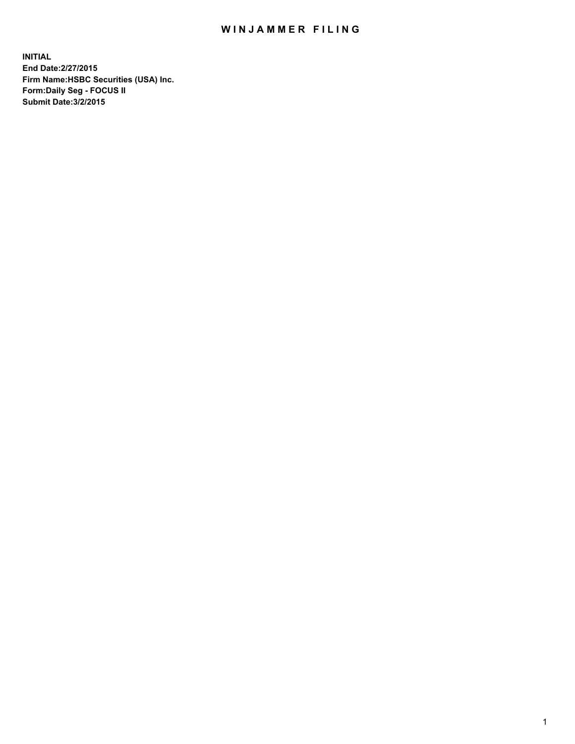## WIN JAMMER FILING

**INITIAL End Date:2/27/2015 Firm Name:HSBC Securities (USA) Inc. Form:Daily Seg - FOCUS II Submit Date:3/2/2015**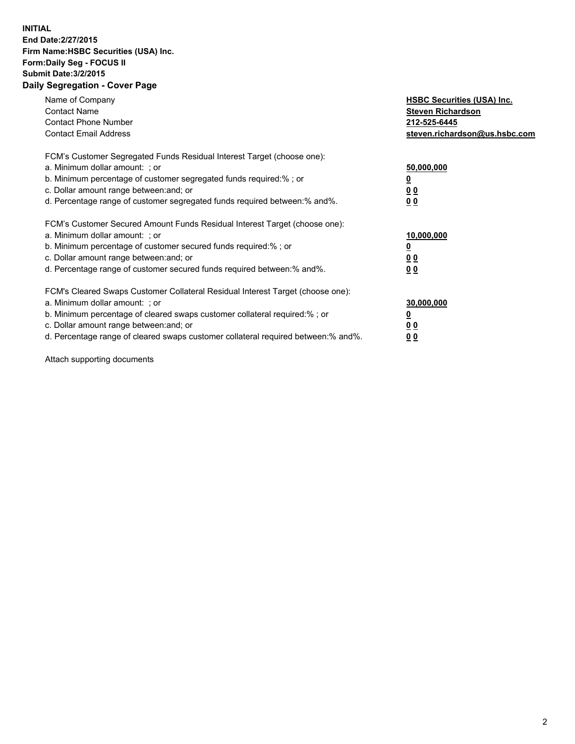## **INITIAL End Date:2/27/2015 Firm Name:HSBC Securities (USA) Inc. Form:Daily Seg - FOCUS II Submit Date:3/2/2015 Daily Segregation - Cover Page**

| Name of Company<br><b>Contact Name</b><br><b>Contact Phone Number</b><br><b>Contact Email Address</b>                                                                                                                                                                                                                         | <b>HSBC Securities (USA) Inc.</b><br><b>Steven Richardson</b><br>212-525-6445<br>steven.richardson@us.hsbc.com |
|-------------------------------------------------------------------------------------------------------------------------------------------------------------------------------------------------------------------------------------------------------------------------------------------------------------------------------|----------------------------------------------------------------------------------------------------------------|
| FCM's Customer Segregated Funds Residual Interest Target (choose one):<br>a. Minimum dollar amount: ; or<br>b. Minimum percentage of customer segregated funds required:% ; or<br>c. Dollar amount range between: and; or<br>d. Percentage range of customer segregated funds required between: % and %.                      | 50,000,000<br>0 <sub>0</sub><br>00                                                                             |
| FCM's Customer Secured Amount Funds Residual Interest Target (choose one):<br>a. Minimum dollar amount: ; or<br>b. Minimum percentage of customer secured funds required:%; or<br>c. Dollar amount range between: and; or<br>d. Percentage range of customer secured funds required between: % and %.                         | 10,000,000<br>00<br>00                                                                                         |
| FCM's Cleared Swaps Customer Collateral Residual Interest Target (choose one):<br>a. Minimum dollar amount: ; or<br>b. Minimum percentage of cleared swaps customer collateral required:%; or<br>c. Dollar amount range between: and; or<br>d. Percentage range of cleared swaps customer collateral required between:% and%. | 30,000,000<br>0 <sub>0</sub><br>00                                                                             |

Attach supporting documents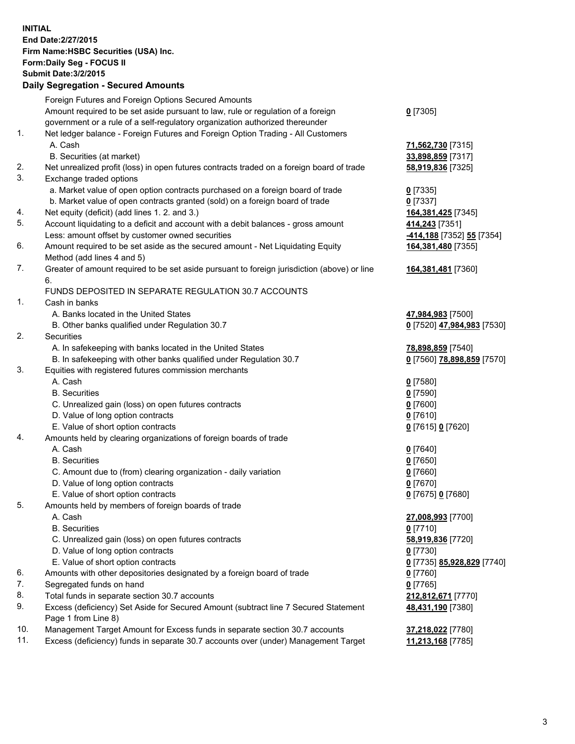**INITIAL End Date:2/27/2015 Firm Name:HSBC Securities (USA) Inc. Form:Daily Seg - FOCUS II Submit Date:3/2/2015 Daily Segregation - Secured Amounts** Foreign Futures and Foreign Options Secured Amounts Amount required to be set aside pursuant to law, rule or regulation of a foreign government or a rule of a self-regulatory organization authorized thereunder **0** [7305] 1. Net ledger balance - Foreign Futures and Foreign Option Trading - All Customers A. Cash **71,562,730** [7315] B. Securities (at market) **33,898,859** [7317] 2. Net unrealized profit (loss) in open futures contracts traded on a foreign board of trade **58,919,836** [7325] 3. Exchange traded options a. Market value of open option contracts purchased on a foreign board of trade **0** [7335] b. Market value of open contracts granted (sold) on a foreign board of trade **0** [7337] 4. Net equity (deficit) (add lines 1. 2. and 3.) **164,381,425** [7345] 5. Account liquidating to a deficit and account with a debit balances - gross amount **414,243** [7351] Less: amount offset by customer owned securities **-414,188** [7352] **55** [7354] 6. Amount required to be set aside as the secured amount - Net Liquidating Equity Method (add lines 4 and 5) **164,381,480** [7355] 7. Greater of amount required to be set aside pursuant to foreign jurisdiction (above) or line 6. **164,381,481** [7360] FUNDS DEPOSITED IN SEPARATE REGULATION 30.7 ACCOUNTS 1. Cash in banks A. Banks located in the United States **47,984,983** [7500] B. Other banks qualified under Regulation 30.7 **0** [7520] **47,984,983** [7530] 2. Securities A. In safekeeping with banks located in the United States **78,898,859** [7540] B. In safekeeping with other banks qualified under Regulation 30.7 **0** [7560] **78,898,859** [7570] 3. Equities with registered futures commission merchants A. Cash **0** [7580] B. Securities **0** [7590] C. Unrealized gain (loss) on open futures contracts **0** [7600] D. Value of long option contracts **0** [7610] E. Value of short option contracts **0** [7615] **0** [7620] 4. Amounts held by clearing organizations of foreign boards of trade A. Cash **0** [7640] B. Securities **0** [7650] C. Amount due to (from) clearing organization - daily variation **0** [7660] D. Value of long option contracts **0** [7670] E. Value of short option contracts **0** [7675] **0** [7680] 5. Amounts held by members of foreign boards of trade A. Cash **27,008,993** [7700] B. Securities **0** [7710] C. Unrealized gain (loss) on open futures contracts **58,919,836** [7720] D. Value of long option contracts **0** [7730] E. Value of short option contracts **0** [7735] **85,928,829** [7740] 6. Amounts with other depositories designated by a foreign board of trade **0** [7760] 7. Segregated funds on hand **0** [7765] 8. Total funds in separate section 30.7 accounts **212,812,671** [7770] 9. Excess (deficiency) Set Aside for Secured Amount (subtract line 7 Secured Statement Page 1 from Line 8) **48,431,190** [7380] 10. Management Target Amount for Excess funds in separate section 30.7 accounts **37,218,022** [7780] 11. Excess (deficiency) funds in separate 30.7 accounts over (under) Management Target **11,213,168** [7785]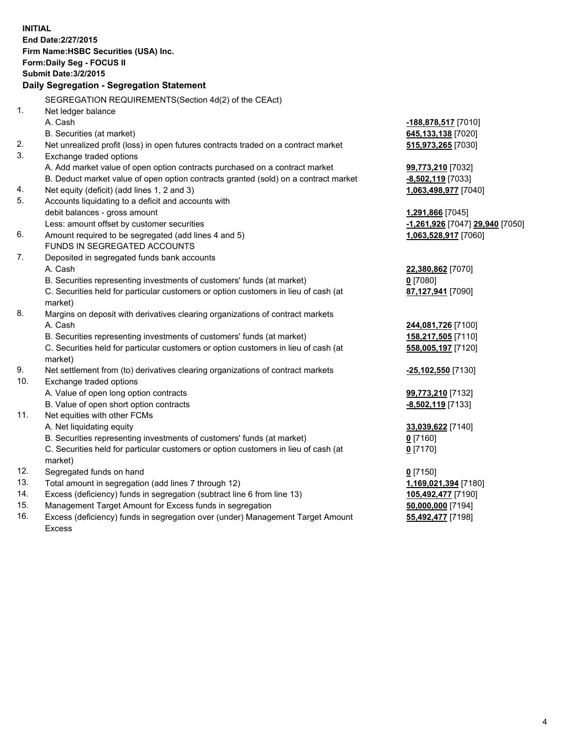| <b>INITIAL</b> | End Date: 2/27/2015<br>Firm Name: HSBC Securities (USA) Inc.<br>Form: Daily Seg - FOCUS II<br><b>Submit Date: 3/2/2015</b><br>Daily Segregation - Segregation Statement |                                 |
|----------------|-------------------------------------------------------------------------------------------------------------------------------------------------------------------------|---------------------------------|
|                | SEGREGATION REQUIREMENTS(Section 4d(2) of the CEAct)                                                                                                                    |                                 |
| 1.             | Net ledger balance                                                                                                                                                      |                                 |
|                | A. Cash                                                                                                                                                                 | -188,878,517 [7010]             |
|                | B. Securities (at market)                                                                                                                                               | 645,133,138 [7020]              |
| 2.             | Net unrealized profit (loss) in open futures contracts traded on a contract market                                                                                      | 515,973,265 [7030]              |
| 3.             | Exchange traded options                                                                                                                                                 |                                 |
|                | A. Add market value of open option contracts purchased on a contract market                                                                                             | 99,773,210 [7032]               |
|                | B. Deduct market value of open option contracts granted (sold) on a contract market                                                                                     | $-8,502,119$ [7033]             |
| 4.             | Net equity (deficit) (add lines 1, 2 and 3)                                                                                                                             | 1,063,498,977 [7040]            |
| 5.             | Accounts liquidating to a deficit and accounts with                                                                                                                     |                                 |
|                | debit balances - gross amount                                                                                                                                           | 1,291,866 [7045]                |
|                | Less: amount offset by customer securities                                                                                                                              | -1,261,926 [7047] 29,940 [7050] |
| 6.             | Amount required to be segregated (add lines 4 and 5)                                                                                                                    | 1,063,528,917 [7060]            |
|                | FUNDS IN SEGREGATED ACCOUNTS                                                                                                                                            |                                 |
| 7.             | Deposited in segregated funds bank accounts                                                                                                                             |                                 |
|                | A. Cash                                                                                                                                                                 | 22,380,862 [7070]               |
|                | B. Securities representing investments of customers' funds (at market)                                                                                                  | $0$ [7080]                      |
|                | C. Securities held for particular customers or option customers in lieu of cash (at<br>market)                                                                          | 87,127,941 [7090]               |
| 8.             | Margins on deposit with derivatives clearing organizations of contract markets                                                                                          |                                 |
|                | A. Cash                                                                                                                                                                 | 244,081,726 [7100]              |
|                | B. Securities representing investments of customers' funds (at market)                                                                                                  | 158,217,505 [7110]              |
|                | C. Securities held for particular customers or option customers in lieu of cash (at<br>market)                                                                          | 558,005,197 [7120]              |
| 9.             | Net settlement from (to) derivatives clearing organizations of contract markets                                                                                         | -25,102,550 [7130]              |
| 10.            | Exchange traded options                                                                                                                                                 |                                 |
|                | A. Value of open long option contracts                                                                                                                                  | 99,773,210 [7132]               |
|                | B. Value of open short option contracts                                                                                                                                 | -8,502,119 [7133]               |
| 11.            | Net equities with other FCMs                                                                                                                                            |                                 |
|                | A. Net liquidating equity                                                                                                                                               | 33,039,622 [7140]               |
|                | B. Securities representing investments of customers' funds (at market)                                                                                                  | 0 [7160]                        |
|                | C. Securities held for particular customers or option customers in lieu of cash (at                                                                                     | $0$ [7170]                      |
|                | market)                                                                                                                                                                 |                                 |
| 12.            | Segregated funds on hand                                                                                                                                                | $0$ [7150]                      |
| 13.            | Total amount in segregation (add lines 7 through 12)                                                                                                                    | 1,169,021,394 [7180]            |
| 14.            | Excess (deficiency) funds in segregation (subtract line 6 from line 13)                                                                                                 | 105,492,477 [7190]              |
| 15.            | Management Target Amount for Excess funds in segregation                                                                                                                | 50,000,000 [7194]               |
| 16.            | Excess (deficiency) funds in segregation over (under) Management Target Amount                                                                                          | 55,492,477 [7198]               |
|                | Excess                                                                                                                                                                  |                                 |